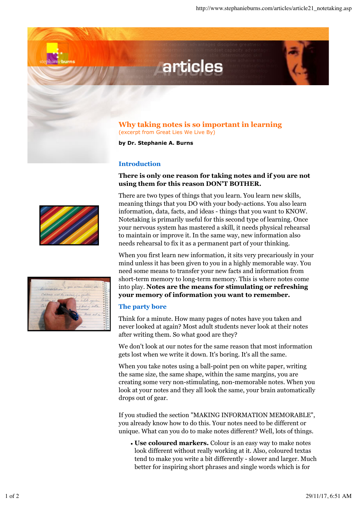

articles

**by Dr. Stephanie A. Burns**

## **Introduction**

## **There is only one reason for taking notes and if you are not using them for this reason DON'T BOTHER.**

There are two types of things that you learn. You learn new skills, meaning things that you DO with your body-actions. You also learn information, data, facts, and ideas - things that you want to KNOW. Notetaking is primarily useful for this second type of learning. Once your nervous system has mastered a skill, it needs physical rehearsal to maintain or improve it. In the same way, new information also needs rehearsal to fix it as a permanent part of your thinking.

When you first learn new information, it sits very precariously in your mind unless it has been given to you in a highly memorable way. You need some means to transfer your new facts and information from short-term memory to long-term memory. This is where notes come into play. **Notes are the means for stimulating or refreshing your memory of information you want to remember.**

## **The party bore**

Think for a minute. How many pages of notes have you taken and never looked at again? Most adult students never look at their notes after writing them. So what good are they?

We don't look at our notes for the same reason that most information gets lost when we write it down. It's boring. It's all the same.

When you take notes using a ball-point pen on white paper, writing the same size, the same shape, within the same margins, you are creating some very non-stimulating, non-memorable notes. When you look at your notes and they all look the same, your brain automatically drops out of gear.

If you studied the section "MAKING INFORMATION MEMORABLE", you already know how to do this. Your notes need to be different or unique. What can you do to make notes different? Well, lots of things.

**Use coloured markers.** Colour is an easy way to make notes look different without really working at it. Also, coloured textas tend to make you write a bit differently - slower and larger. Much better for inspiring short phrases and single words which is for



stephanieburns